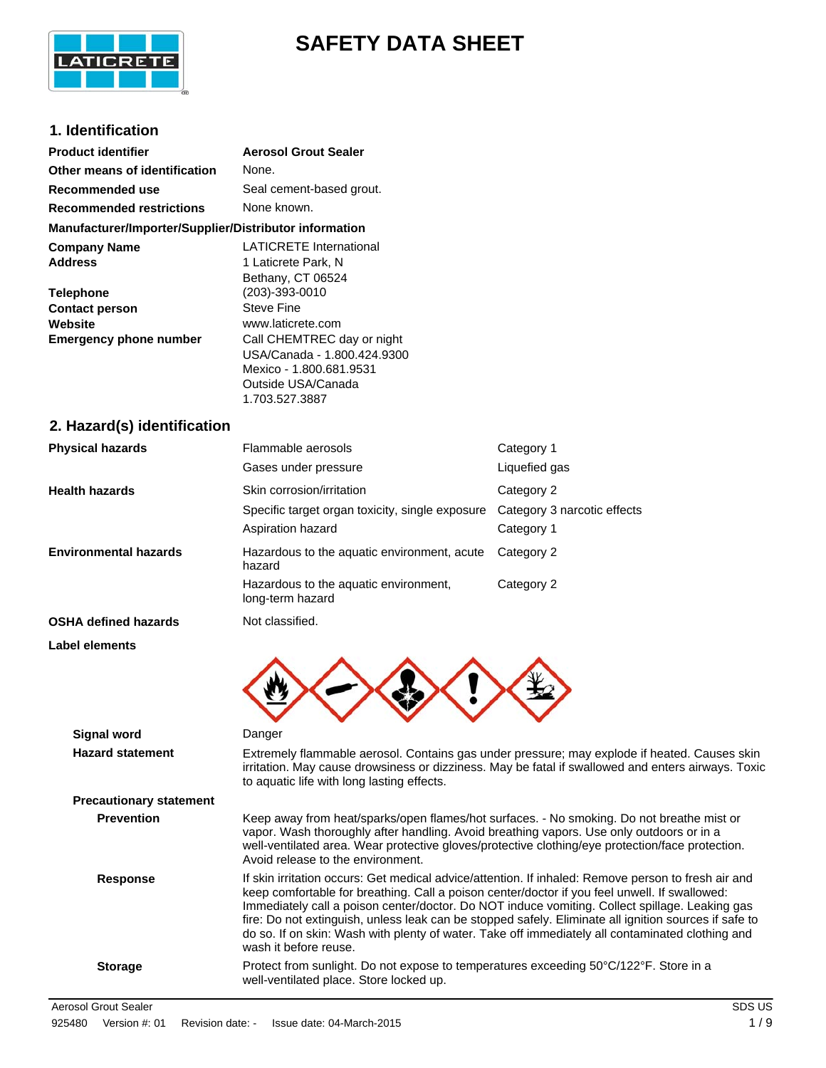

# **SAFETY DATA SHEET**

## **1. Identification**

| <b>Product identifier</b>                                                                                                      | <b>Aerosol Grout Sealer</b>                                                                                                                                                                                                                          |                                           |
|--------------------------------------------------------------------------------------------------------------------------------|------------------------------------------------------------------------------------------------------------------------------------------------------------------------------------------------------------------------------------------------------|-------------------------------------------|
| Other means of identification                                                                                                  | None.                                                                                                                                                                                                                                                |                                           |
| Recommended use                                                                                                                | Seal cement-based grout.                                                                                                                                                                                                                             |                                           |
| <b>Recommended restrictions</b>                                                                                                | None known.                                                                                                                                                                                                                                          |                                           |
| Manufacturer/Importer/Supplier/Distributor information                                                                         |                                                                                                                                                                                                                                                      |                                           |
| <b>Company Name</b><br><b>Address</b><br><b>Telephone</b><br><b>Contact person</b><br>Website<br><b>Emergency phone number</b> | <b>LATICRETE International</b><br>1 Laticrete Park, N<br>Bethany, CT 06524<br>(203)-393-0010<br><b>Steve Fine</b><br>www.laticrete.com<br>Call CHEMTREC day or night<br>USA/Canada - 1.800.424.9300<br>Mexico - 1.800.681.9531<br>Outside USA/Canada |                                           |
|                                                                                                                                | 1.703.527.3887                                                                                                                                                                                                                                       |                                           |
| 2. Hazard(s) identification                                                                                                    |                                                                                                                                                                                                                                                      |                                           |
| <b>Physical hazards</b>                                                                                                        | Flammable aerosols                                                                                                                                                                                                                                   | Category 1                                |
|                                                                                                                                | Gases under pressure                                                                                                                                                                                                                                 | Liquefied gas                             |
| <b>Health hazards</b>                                                                                                          | Skin corrosion/irritation                                                                                                                                                                                                                            | Category 2                                |
|                                                                                                                                | Specific target organ toxicity, single exposure<br>Aspiration hazard                                                                                                                                                                                 | Category 3 narcotic effects<br>Category 1 |
| <b>Environmental hazards</b>                                                                                                   | Hazardous to the aquatic environment, acute<br>hazard                                                                                                                                                                                                | Category 2                                |
|                                                                                                                                | Hazardous to the aquatic environment,<br>long-term hazard                                                                                                                                                                                            | Category 2                                |
| <b>OSHA defined hazards</b>                                                                                                    | Not classified.                                                                                                                                                                                                                                      |                                           |
| <b>Label elements</b>                                                                                                          |                                                                                                                                                                                                                                                      |                                           |
| <b>Signal word</b>                                                                                                             | Danger                                                                                                                                                                                                                                               |                                           |
| Hazard statement                                                                                                               | Extremely flammable aerosol. Contains gas under pressure: may explode if                                                                                                                                                                             |                                           |

| Signal word                    | Danger                                                                                                                                                                                                                                                                                                                                                                                                                                                                                                                                       |
|--------------------------------|----------------------------------------------------------------------------------------------------------------------------------------------------------------------------------------------------------------------------------------------------------------------------------------------------------------------------------------------------------------------------------------------------------------------------------------------------------------------------------------------------------------------------------------------|
| <b>Hazard statement</b>        | Extremely flammable aerosol. Contains gas under pressure; may explode if heated. Causes skin<br>irritation. May cause drowsiness or dizziness. May be fatal if swallowed and enters airways. Toxic<br>to aquatic life with long lasting effects.                                                                                                                                                                                                                                                                                             |
| <b>Precautionary statement</b> |                                                                                                                                                                                                                                                                                                                                                                                                                                                                                                                                              |
| <b>Prevention</b>              | Keep away from heat/sparks/open flames/hot surfaces. - No smoking. Do not breathe mist or<br>vapor. Wash thoroughly after handling. Avoid breathing vapors. Use only outdoors or in a<br>well-ventilated area. Wear protective gloves/protective clothing/eye protection/face protection.<br>Avoid release to the environment.                                                                                                                                                                                                               |
| <b>Response</b>                | If skin irritation occurs: Get medical advice/attention. If inhaled: Remove person to fresh air and<br>keep comfortable for breathing. Call a poison center/doctor if you feel unwell. If swallowed:<br>Immediately call a poison center/doctor. Do NOT induce vomiting. Collect spillage. Leaking gas<br>fire: Do not extinguish, unless leak can be stopped safely. Eliminate all ignition sources if safe to<br>do so. If on skin: Wash with plenty of water. Take off immediately all contaminated clothing and<br>wash it before reuse. |
| <b>Storage</b>                 | Protect from sunlight. Do not expose to temperatures exceeding 50°C/122°F. Store in a<br>well-ventilated place. Store locked up.                                                                                                                                                                                                                                                                                                                                                                                                             |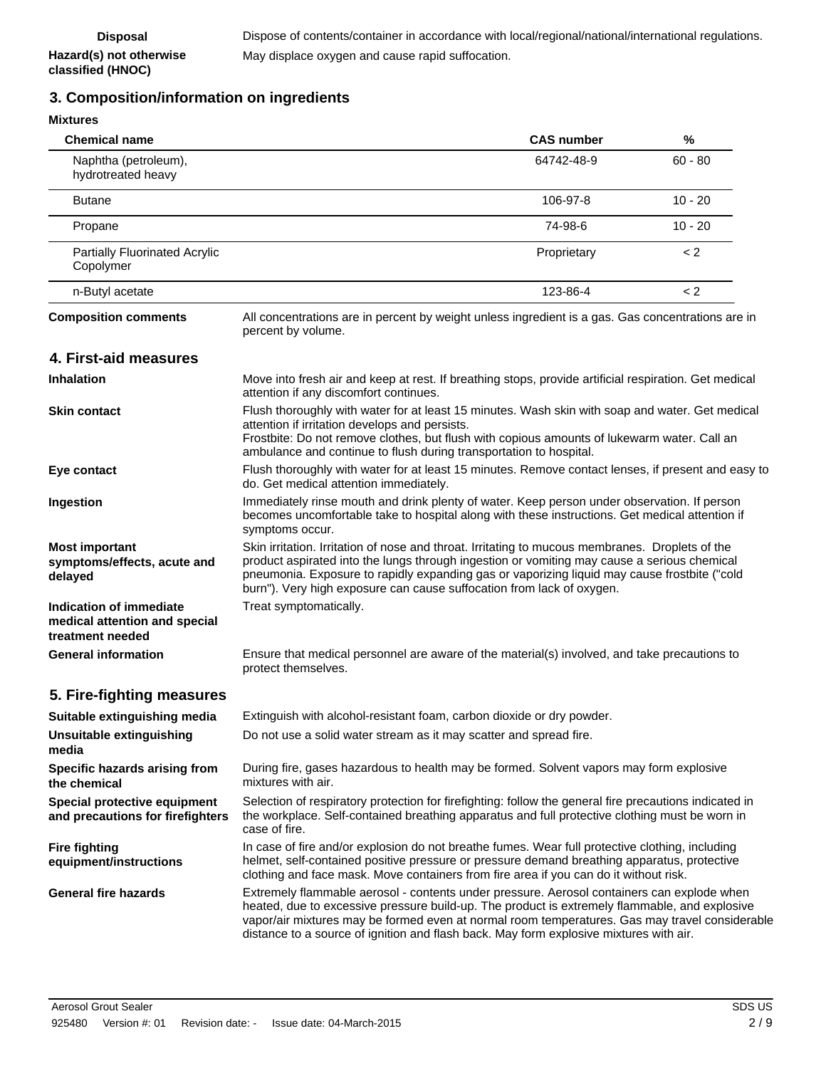# **3. Composition/information on ingredients**

**Hazard(s) not otherwise classified (HNOC)**

| <b>Mixtures</b>                                                              |                                                                                                                                                                                                                                                                                                                                                                                         |                   |           |
|------------------------------------------------------------------------------|-----------------------------------------------------------------------------------------------------------------------------------------------------------------------------------------------------------------------------------------------------------------------------------------------------------------------------------------------------------------------------------------|-------------------|-----------|
| <b>Chemical name</b>                                                         |                                                                                                                                                                                                                                                                                                                                                                                         | <b>CAS number</b> | %         |
| Naphtha (petroleum),<br>hydrotreated heavy                                   |                                                                                                                                                                                                                                                                                                                                                                                         | 64742-48-9        | $60 - 80$ |
| <b>Butane</b>                                                                |                                                                                                                                                                                                                                                                                                                                                                                         | 106-97-8          | $10 - 20$ |
| Propane                                                                      |                                                                                                                                                                                                                                                                                                                                                                                         | 74-98-6           | $10 - 20$ |
| <b>Partially Fluorinated Acrylic</b><br>Copolymer                            |                                                                                                                                                                                                                                                                                                                                                                                         | Proprietary       | < 2       |
| n-Butyl acetate                                                              |                                                                                                                                                                                                                                                                                                                                                                                         | 123-86-4          | $\lt 2$   |
| <b>Composition comments</b>                                                  | All concentrations are in percent by weight unless ingredient is a gas. Gas concentrations are in<br>percent by volume.                                                                                                                                                                                                                                                                 |                   |           |
| 4. First-aid measures                                                        |                                                                                                                                                                                                                                                                                                                                                                                         |                   |           |
| <b>Inhalation</b>                                                            | Move into fresh air and keep at rest. If breathing stops, provide artificial respiration. Get medical<br>attention if any discomfort continues.                                                                                                                                                                                                                                         |                   |           |
| <b>Skin contact</b>                                                          | Flush thoroughly with water for at least 15 minutes. Wash skin with soap and water. Get medical<br>attention if irritation develops and persists.<br>Frostbite: Do not remove clothes, but flush with copious amounts of lukewarm water. Call an<br>ambulance and continue to flush during transportation to hospital.                                                                  |                   |           |
| Eye contact                                                                  | Flush thoroughly with water for at least 15 minutes. Remove contact lenses, if present and easy to<br>do. Get medical attention immediately.                                                                                                                                                                                                                                            |                   |           |
| Ingestion                                                                    | Immediately rinse mouth and drink plenty of water. Keep person under observation. If person<br>becomes uncomfortable take to hospital along with these instructions. Get medical attention if<br>symptoms occur.                                                                                                                                                                        |                   |           |
| <b>Most important</b><br>symptoms/effects, acute and<br>delayed              | Skin irritation. Irritation of nose and throat. Irritating to mucous membranes. Droplets of the<br>product aspirated into the lungs through ingestion or vomiting may cause a serious chemical<br>pneumonia. Exposure to rapidly expanding gas or vaporizing liquid may cause frostbite ("cold<br>burn"). Very high exposure can cause suffocation from lack of oxygen.                 |                   |           |
| Indication of immediate<br>medical attention and special<br>treatment needed | Treat symptomatically.                                                                                                                                                                                                                                                                                                                                                                  |                   |           |
| <b>General information</b>                                                   | Ensure that medical personnel are aware of the material(s) involved, and take precautions to<br>protect themselves.                                                                                                                                                                                                                                                                     |                   |           |
| 5. Fire-fighting measures                                                    |                                                                                                                                                                                                                                                                                                                                                                                         |                   |           |
| Suitable extinguishing media                                                 | Extinguish with alcohol-resistant foam, carbon dioxide or dry powder.                                                                                                                                                                                                                                                                                                                   |                   |           |
| Unsuitable extinguishing<br>media                                            | Do not use a solid water stream as it may scatter and spread fire.                                                                                                                                                                                                                                                                                                                      |                   |           |
| Specific hazards arising from<br>the chemical                                | During fire, gases hazardous to health may be formed. Solvent vapors may form explosive<br>mixtures with air.                                                                                                                                                                                                                                                                           |                   |           |
| Special protective equipment<br>and precautions for firefighters             | Selection of respiratory protection for firefighting: follow the general fire precautions indicated in<br>the workplace. Self-contained breathing apparatus and full protective clothing must be worn in<br>case of fire.                                                                                                                                                               |                   |           |
| <b>Fire fighting</b><br>equipment/instructions                               | In case of fire and/or explosion do not breathe fumes. Wear full protective clothing, including<br>helmet, self-contained positive pressure or pressure demand breathing apparatus, protective<br>clothing and face mask. Move containers from fire area if you can do it without risk.                                                                                                 |                   |           |
| <b>General fire hazards</b>                                                  | Extremely flammable aerosol - contents under pressure. Aerosol containers can explode when<br>heated, due to excessive pressure build-up. The product is extremely flammable, and explosive<br>vapor/air mixtures may be formed even at normal room temperatures. Gas may travel considerable<br>distance to a source of ignition and flash back. May form explosive mixtures with air. |                   |           |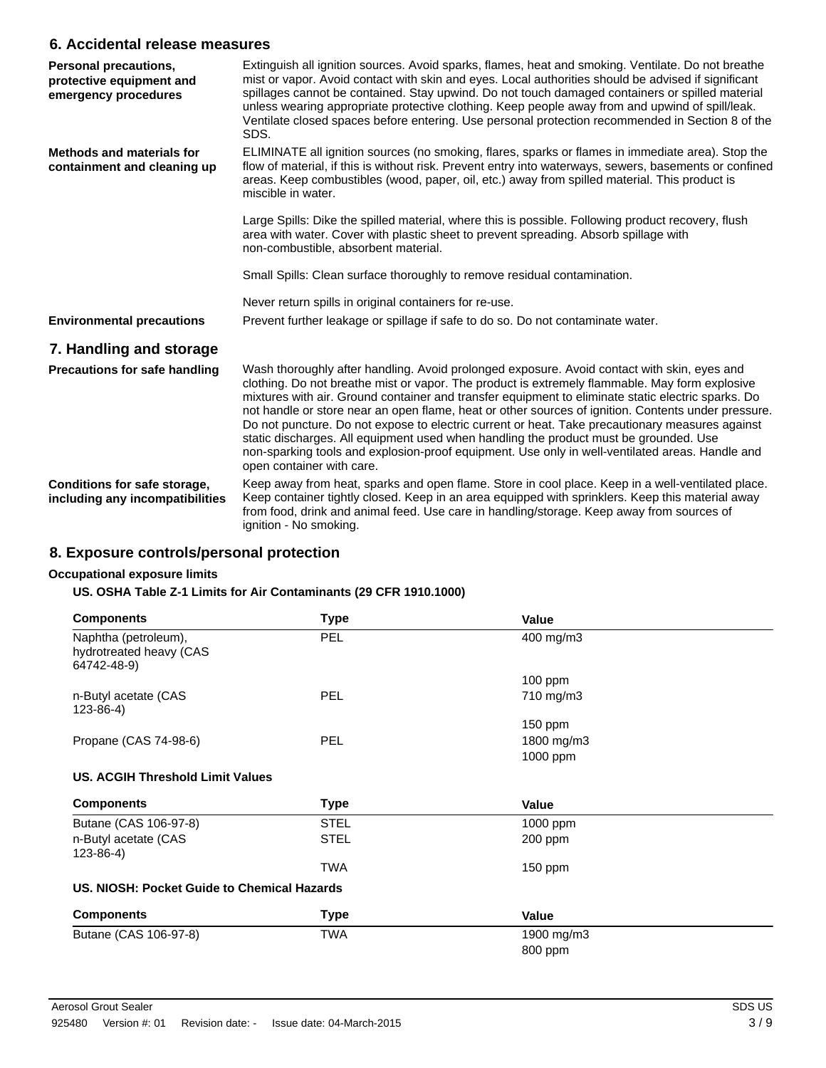### **6. Accidental release measures**

| Personal precautions,<br>protective equipment and<br>emergency procedures | Extinguish all ignition sources. Avoid sparks, flames, heat and smoking. Ventilate. Do not breathe<br>mist or vapor. Avoid contact with skin and eyes. Local authorities should be advised if significant<br>spillages cannot be contained. Stay upwind. Do not touch damaged containers or spilled material<br>unless wearing appropriate protective clothing. Keep people away from and upwind of spill/leak.<br>Ventilate closed spaces before entering. Use personal protection recommended in Section 8 of the<br>SDS.                                                                                                                                                                                                            |
|---------------------------------------------------------------------------|----------------------------------------------------------------------------------------------------------------------------------------------------------------------------------------------------------------------------------------------------------------------------------------------------------------------------------------------------------------------------------------------------------------------------------------------------------------------------------------------------------------------------------------------------------------------------------------------------------------------------------------------------------------------------------------------------------------------------------------|
| <b>Methods and materials for</b><br>containment and cleaning up           | ELIMINATE all ignition sources (no smoking, flares, sparks or flames in immediate area). Stop the<br>flow of material, if this is without risk. Prevent entry into waterways, sewers, basements or confined<br>areas. Keep combustibles (wood, paper, oil, etc.) away from spilled material. This product is<br>miscible in water.                                                                                                                                                                                                                                                                                                                                                                                                     |
|                                                                           | Large Spills: Dike the spilled material, where this is possible. Following product recovery, flush<br>area with water. Cover with plastic sheet to prevent spreading. Absorb spillage with<br>non-combustible, absorbent material.                                                                                                                                                                                                                                                                                                                                                                                                                                                                                                     |
|                                                                           | Small Spills: Clean surface thoroughly to remove residual contamination.                                                                                                                                                                                                                                                                                                                                                                                                                                                                                                                                                                                                                                                               |
|                                                                           | Never return spills in original containers for re-use.                                                                                                                                                                                                                                                                                                                                                                                                                                                                                                                                                                                                                                                                                 |
| <b>Environmental precautions</b>                                          | Prevent further leakage or spillage if safe to do so. Do not contaminate water.                                                                                                                                                                                                                                                                                                                                                                                                                                                                                                                                                                                                                                                        |
| 7. Handling and storage                                                   |                                                                                                                                                                                                                                                                                                                                                                                                                                                                                                                                                                                                                                                                                                                                        |
| <b>Precautions for safe handling</b>                                      | Wash thoroughly after handling. Avoid prolonged exposure. Avoid contact with skin, eyes and<br>clothing. Do not breathe mist or vapor. The product is extremely flammable. May form explosive<br>mixtures with air. Ground container and transfer equipment to eliminate static electric sparks. Do<br>not handle or store near an open flame, heat or other sources of ignition. Contents under pressure.<br>Do not puncture. Do not expose to electric current or heat. Take precautionary measures against<br>static discharges. All equipment used when handling the product must be grounded. Use<br>non-sparking tools and explosion-proof equipment. Use only in well-ventilated areas. Handle and<br>open container with care. |
| Conditions for safe storage,<br>including any incompatibilities           | Keep away from heat, sparks and open flame. Store in cool place. Keep in a well-ventilated place.<br>Keep container tightly closed. Keep in an area equipped with sprinklers. Keep this material away<br>from food, drink and animal feed. Use care in handling/storage. Keep away from sources of<br>ignition - No smoking.                                                                                                                                                                                                                                                                                                                                                                                                           |

## **8. Exposure controls/personal protection**

#### **Occupational exposure limits**

#### **US. OSHA Table Z-1 Limits for Air Contaminants (29 CFR 1910.1000)**

| <b>Components</b>                                              | <b>Type</b> | Value      |  |
|----------------------------------------------------------------|-------------|------------|--|
| Naphtha (petroleum),<br>hydrotreated heavy (CAS<br>64742-48-9) | <b>PEL</b>  | 400 mg/m3  |  |
|                                                                |             | $100$ ppm  |  |
| n-Butyl acetate (CAS<br>$123 - 86 - 4$ )                       | <b>PEL</b>  | 710 mg/m3  |  |
|                                                                |             | 150 ppm    |  |
| Propane (CAS 74-98-6)                                          | <b>PEL</b>  | 1800 mg/m3 |  |
|                                                                |             | 1000 ppm   |  |
| <b>US. ACGIH Threshold Limit Values</b>                        |             |            |  |
| <b>Components</b>                                              | Type        | Value      |  |
| Butane (CAS 106-97-8)                                          | STEL        | 1000 ppm   |  |
| n-Butyl acetate (CAS<br>$123 - 86 - 4$                         | <b>STEL</b> | 200 ppm    |  |
|                                                                | TWA         | $150$ ppm  |  |
| US. NIOSH: Pocket Guide to Chemical Hazards                    |             |            |  |
| <b>Components</b>                                              | <b>Type</b> | Value      |  |
| Butane (CAS 106-97-8)                                          | TWA         | 1900 mg/m3 |  |
|                                                                |             | 800 ppm    |  |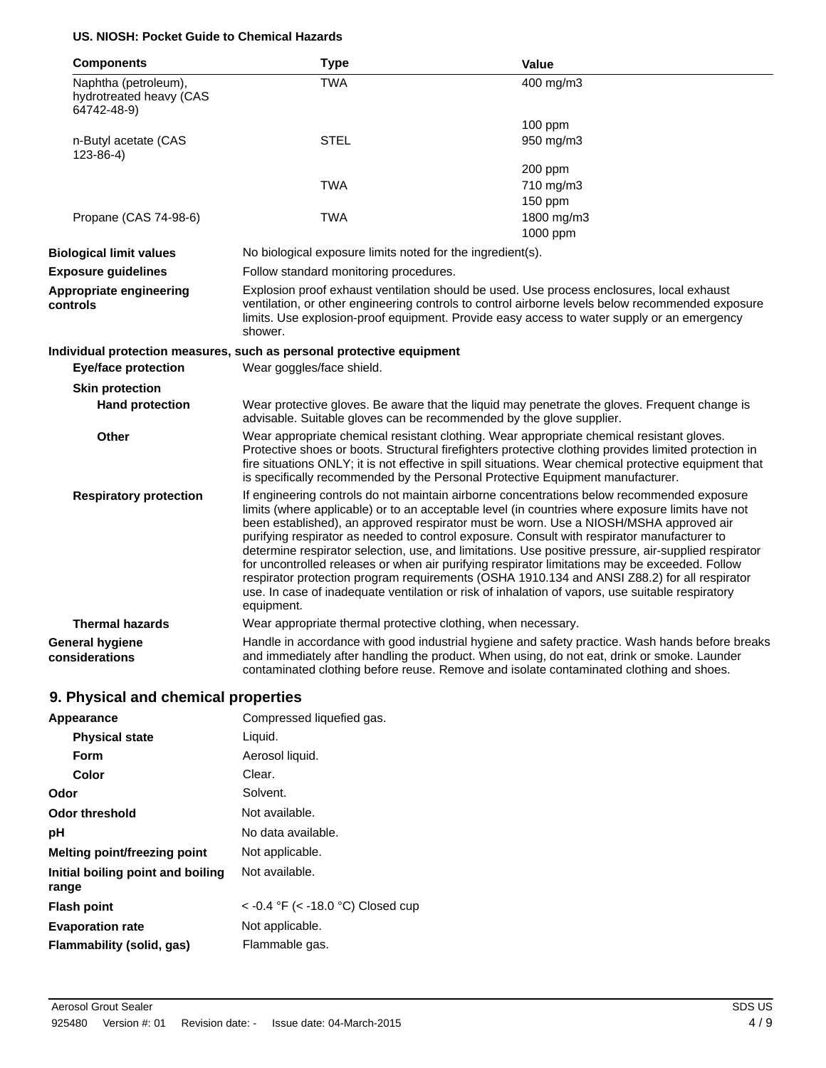#### **US. NIOSH: Pocket Guide to Chemical Hazards**

| <b>Components</b>                                              | <b>Type</b>                                                                                                                                                                                                                                                                                                                                                                                                                                                                                                                                                                                                                                                                                                                                                                                                        | Value                                                                                                                                                                                                                                                                                       |
|----------------------------------------------------------------|--------------------------------------------------------------------------------------------------------------------------------------------------------------------------------------------------------------------------------------------------------------------------------------------------------------------------------------------------------------------------------------------------------------------------------------------------------------------------------------------------------------------------------------------------------------------------------------------------------------------------------------------------------------------------------------------------------------------------------------------------------------------------------------------------------------------|---------------------------------------------------------------------------------------------------------------------------------------------------------------------------------------------------------------------------------------------------------------------------------------------|
| Naphtha (petroleum),<br>hydrotreated heavy (CAS<br>64742-48-9) | <b>TWA</b>                                                                                                                                                                                                                                                                                                                                                                                                                                                                                                                                                                                                                                                                                                                                                                                                         | 400 mg/m3                                                                                                                                                                                                                                                                                   |
|                                                                |                                                                                                                                                                                                                                                                                                                                                                                                                                                                                                                                                                                                                                                                                                                                                                                                                    | 100 ppm                                                                                                                                                                                                                                                                                     |
| n-Butyl acetate (CAS<br>$123 - 86 - 4$                         | <b>STEL</b>                                                                                                                                                                                                                                                                                                                                                                                                                                                                                                                                                                                                                                                                                                                                                                                                        | 950 mg/m3                                                                                                                                                                                                                                                                                   |
|                                                                |                                                                                                                                                                                                                                                                                                                                                                                                                                                                                                                                                                                                                                                                                                                                                                                                                    | 200 ppm                                                                                                                                                                                                                                                                                     |
|                                                                | <b>TWA</b>                                                                                                                                                                                                                                                                                                                                                                                                                                                                                                                                                                                                                                                                                                                                                                                                         | 710 mg/m3                                                                                                                                                                                                                                                                                   |
|                                                                |                                                                                                                                                                                                                                                                                                                                                                                                                                                                                                                                                                                                                                                                                                                                                                                                                    | 150 ppm                                                                                                                                                                                                                                                                                     |
| Propane (CAS 74-98-6)                                          | <b>TWA</b>                                                                                                                                                                                                                                                                                                                                                                                                                                                                                                                                                                                                                                                                                                                                                                                                         | 1800 mg/m3                                                                                                                                                                                                                                                                                  |
|                                                                |                                                                                                                                                                                                                                                                                                                                                                                                                                                                                                                                                                                                                                                                                                                                                                                                                    | 1000 ppm                                                                                                                                                                                                                                                                                    |
| <b>Biological limit values</b>                                 | No biological exposure limits noted for the ingredient(s).                                                                                                                                                                                                                                                                                                                                                                                                                                                                                                                                                                                                                                                                                                                                                         |                                                                                                                                                                                                                                                                                             |
| <b>Exposure guidelines</b>                                     | Follow standard monitoring procedures.                                                                                                                                                                                                                                                                                                                                                                                                                                                                                                                                                                                                                                                                                                                                                                             |                                                                                                                                                                                                                                                                                             |
| Appropriate engineering<br>controls                            | shower.                                                                                                                                                                                                                                                                                                                                                                                                                                                                                                                                                                                                                                                                                                                                                                                                            | Explosion proof exhaust ventilation should be used. Use process enclosures, local exhaust<br>ventilation, or other engineering controls to control airborne levels below recommended exposure<br>limits. Use explosion-proof equipment. Provide easy access to water supply or an emergency |
|                                                                | Individual protection measures, such as personal protective equipment                                                                                                                                                                                                                                                                                                                                                                                                                                                                                                                                                                                                                                                                                                                                              |                                                                                                                                                                                                                                                                                             |
| <b>Eye/face protection</b>                                     | Wear goggles/face shield.                                                                                                                                                                                                                                                                                                                                                                                                                                                                                                                                                                                                                                                                                                                                                                                          |                                                                                                                                                                                                                                                                                             |
| <b>Skin protection</b>                                         |                                                                                                                                                                                                                                                                                                                                                                                                                                                                                                                                                                                                                                                                                                                                                                                                                    |                                                                                                                                                                                                                                                                                             |
| <b>Hand protection</b>                                         | advisable. Suitable gloves can be recommended by the glove supplier.                                                                                                                                                                                                                                                                                                                                                                                                                                                                                                                                                                                                                                                                                                                                               | Wear protective gloves. Be aware that the liquid may penetrate the gloves. Frequent change is                                                                                                                                                                                               |
| <b>Other</b>                                                   | Wear appropriate chemical resistant clothing. Wear appropriate chemical resistant gloves.<br>Protective shoes or boots. Structural firefighters protective clothing provides limited protection in<br>fire situations ONLY; it is not effective in spill situations. Wear chemical protective equipment that<br>is specifically recommended by the Personal Protective Equipment manufacturer.                                                                                                                                                                                                                                                                                                                                                                                                                     |                                                                                                                                                                                                                                                                                             |
| <b>Respiratory protection</b>                                  | If engineering controls do not maintain airborne concentrations below recommended exposure<br>limits (where applicable) or to an acceptable level (in countries where exposure limits have not<br>been established), an approved respirator must be worn. Use a NIOSH/MSHA approved air<br>purifying respirator as needed to control exposure. Consult with respirator manufacturer to<br>determine respirator selection, use, and limitations. Use positive pressure, air-supplied respirator<br>for uncontrolled releases or when air purifying respirator limitations may be exceeded. Follow<br>respirator protection program requirements (OSHA 1910.134 and ANSI Z88.2) for all respirator<br>use. In case of inadequate ventilation or risk of inhalation of vapors, use suitable respiratory<br>equipment. |                                                                                                                                                                                                                                                                                             |
| <b>Thermal hazards</b>                                         | Wear appropriate thermal protective clothing, when necessary.                                                                                                                                                                                                                                                                                                                                                                                                                                                                                                                                                                                                                                                                                                                                                      |                                                                                                                                                                                                                                                                                             |
| General hygiene<br>considerations                              |                                                                                                                                                                                                                                                                                                                                                                                                                                                                                                                                                                                                                                                                                                                                                                                                                    | Handle in accordance with good industrial hygiene and safety practice. Wash hands before breaks<br>and immediately after handling the product. When using, do not eat, drink or smoke. Launder<br>contaminated clothing before reuse. Remove and isolate contaminated clothing and shoes.   |

# **9. Physical and chemical properties**

| Appearance                                 | Compressed liquefied gas.              |
|--------------------------------------------|----------------------------------------|
| <b>Physical state</b>                      | Liquid.                                |
| Form                                       | Aerosol liquid.                        |
| Color                                      | Clear.                                 |
| Odor                                       | Solvent.                               |
| Odor threshold                             | Not available.                         |
| рH                                         | No data available.                     |
| Melting point/freezing point               | Not applicable.                        |
| Initial boiling point and boiling<br>range | Not available.                         |
| <b>Flash point</b>                         | $<$ -0.4 °F ( $<$ -18.0 °C) Closed cup |
| <b>Evaporation rate</b>                    | Not applicable.                        |
| Flammability (solid, gas)                  | Flammable gas.                         |
|                                            |                                        |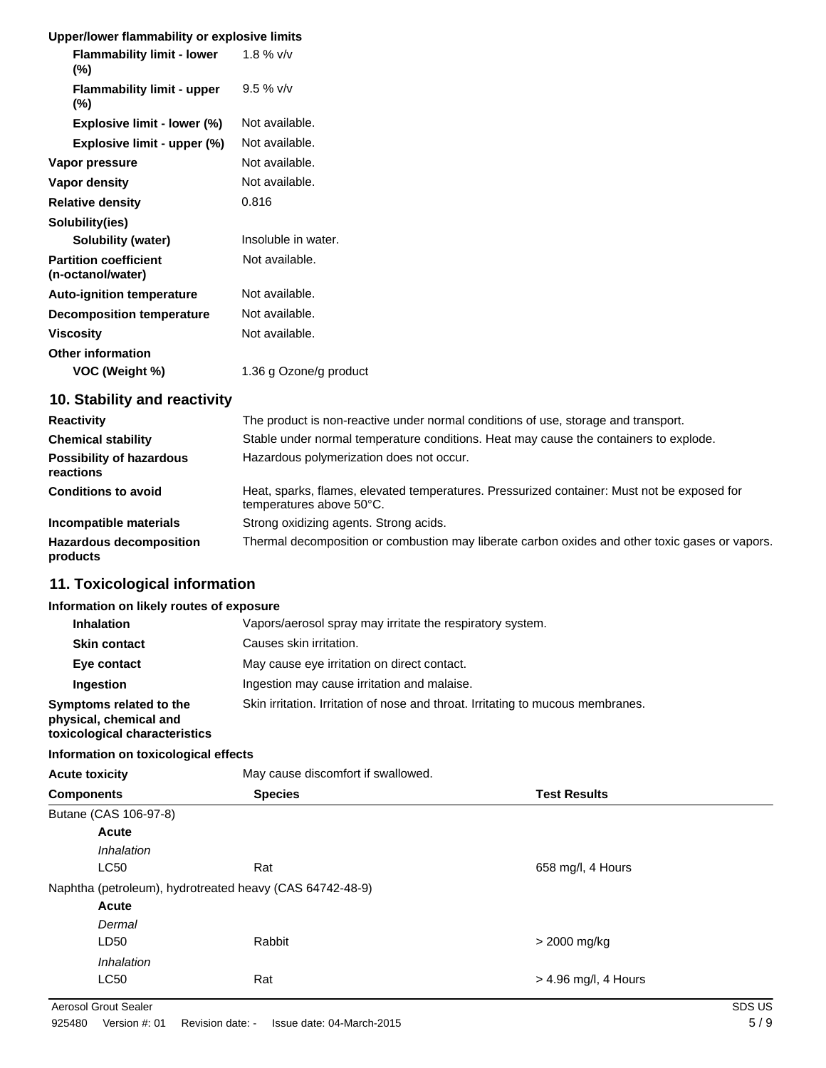| Upper/lower flammability or explosive limits      |                        |
|---------------------------------------------------|------------------------|
| <b>Flammability limit - lower</b><br>$(\%)$       | 1.8 % $v/v$            |
| <b>Flammability limit - upper</b><br>$(\%)$       | $9.5 \%$ v/v           |
| Explosive limit - lower (%)                       | Not available.         |
| Explosive limit - upper (%)                       | Not available.         |
| Vapor pressure                                    | Not available.         |
| Vapor density                                     | Not available.         |
| <b>Relative density</b>                           | 0.816                  |
| Solubility(ies)                                   |                        |
| Solubility (water)                                | Insoluble in water.    |
| <b>Partition coefficient</b><br>(n-octanol/water) | Not available.         |
| <b>Auto-ignition temperature</b>                  | Not available.         |
| <b>Decomposition temperature</b>                  | Not available.         |
| <b>Viscosity</b>                                  | Not available.         |
| <b>Other information</b><br>VOC (Weight %)        | 1.36 g Ozone/g product |
| 10. Stability and reactivity                      |                        |

| <b>Reactivity</b>                            | The product is non-reactive under normal conditions of use, storage and transport.                                      |
|----------------------------------------------|-------------------------------------------------------------------------------------------------------------------------|
| <b>Chemical stability</b>                    | Stable under normal temperature conditions. Heat may cause the containers to explode.                                   |
| <b>Possibility of hazardous</b><br>reactions | Hazardous polymerization does not occur.                                                                                |
| <b>Conditions to avoid</b>                   | Heat, sparks, flames, elevated temperatures. Pressurized container: Must not be exposed for<br>temperatures above 50°C. |
| Incompatible materials                       | Strong oxidizing agents. Strong acids.                                                                                  |
| <b>Hazardous decomposition</b><br>products   | Thermal decomposition or combustion may liberate carbon oxides and other toxic gases or vapors.                         |

# **11. Toxicological information**

#### **Information on likely routes of exposure**

| <b>Inhalation</b>                                                                  | Vapors/aerosol spray may irritate the respiratory system.                       |  |
|------------------------------------------------------------------------------------|---------------------------------------------------------------------------------|--|
| <b>Skin contact</b>                                                                | Causes skin irritation.                                                         |  |
| Eye contact                                                                        | May cause eye irritation on direct contact.                                     |  |
| Ingestion                                                                          | Ingestion may cause irritation and malaise.                                     |  |
| Symptoms related to the<br>physical, chemical and<br>toxicological characteristics | Skin irritation. Irritation of nose and throat. Irritating to mucous membranes. |  |

#### **Information on toxicological effects**

| <b>Acute toxicity</b>               | May cause discomfort if swallowed.                       |                        |  |  |
|-------------------------------------|----------------------------------------------------------|------------------------|--|--|
| <b>Species</b><br><b>Components</b> |                                                          | <b>Test Results</b>    |  |  |
| Butane (CAS 106-97-8)               |                                                          |                        |  |  |
| <b>Acute</b>                        |                                                          |                        |  |  |
|                                     | <i><b>Inhalation</b></i>                                 |                        |  |  |
| <b>LC50</b>                         | Rat                                                      | 658 mg/l, 4 Hours      |  |  |
|                                     | Naphtha (petroleum), hydrotreated heavy (CAS 64742-48-9) |                        |  |  |
| <b>Acute</b>                        |                                                          |                        |  |  |
|                                     | Dermal                                                   |                        |  |  |
| LD50                                | Rabbit                                                   | > 2000 mg/kg           |  |  |
|                                     | <i><b>Inhalation</b></i>                                 |                        |  |  |
| <b>LC50</b>                         | Rat                                                      | $>$ 4.96 mg/l, 4 Hours |  |  |

Aerosol Grout Sealer SDS US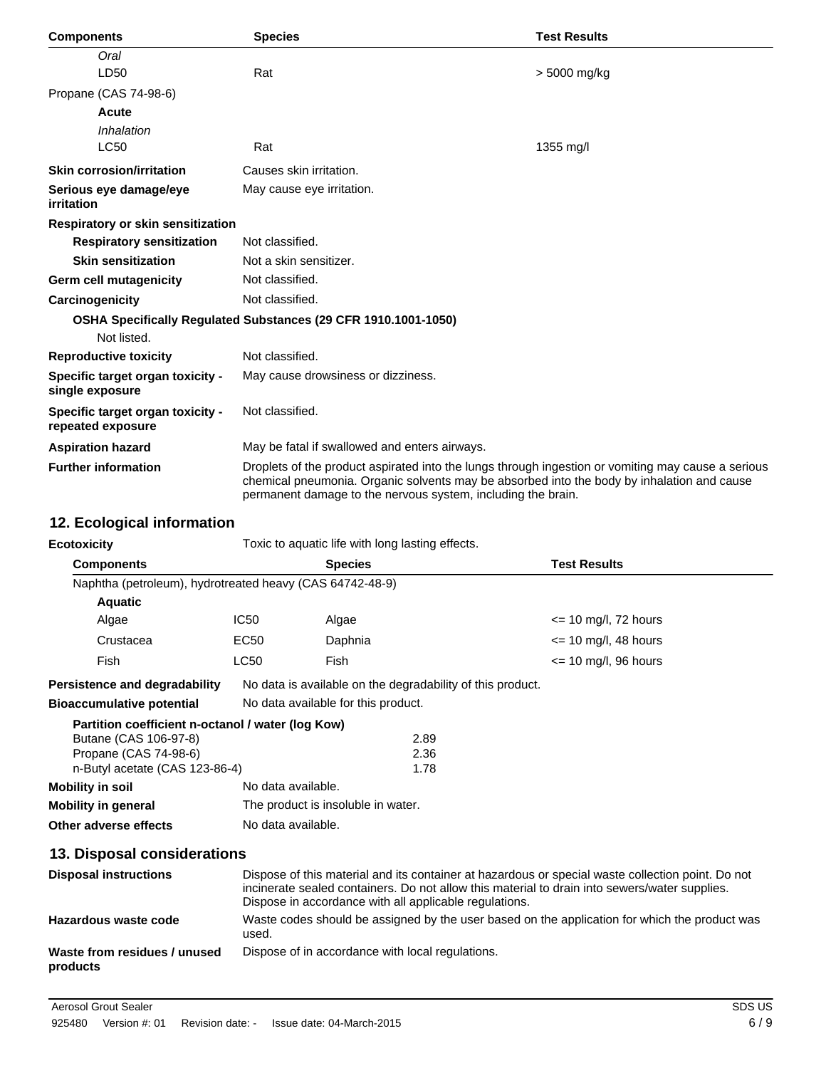| <b>Components</b>                                     | <b>Species</b>                                                                                                                                                                                                                                                   | <b>Test Results</b> |
|-------------------------------------------------------|------------------------------------------------------------------------------------------------------------------------------------------------------------------------------------------------------------------------------------------------------------------|---------------------|
| Oral                                                  |                                                                                                                                                                                                                                                                  |                     |
| LD50                                                  | Rat                                                                                                                                                                                                                                                              | > 5000 mg/kg        |
| Propane (CAS 74-98-6)                                 |                                                                                                                                                                                                                                                                  |                     |
| Acute                                                 |                                                                                                                                                                                                                                                                  |                     |
| Inhalation                                            |                                                                                                                                                                                                                                                                  |                     |
| <b>LC50</b>                                           | Rat                                                                                                                                                                                                                                                              | 1355 mg/l           |
| <b>Skin corrosion/irritation</b>                      | Causes skin irritation.                                                                                                                                                                                                                                          |                     |
| Serious eye damage/eye<br>irritation                  | May cause eye irritation.                                                                                                                                                                                                                                        |                     |
| <b>Respiratory or skin sensitization</b>              |                                                                                                                                                                                                                                                                  |                     |
| <b>Respiratory sensitization</b>                      | Not classified.                                                                                                                                                                                                                                                  |                     |
| <b>Skin sensitization</b>                             | Not a skin sensitizer.                                                                                                                                                                                                                                           |                     |
| <b>Germ cell mutagenicity</b>                         | Not classified.                                                                                                                                                                                                                                                  |                     |
| Carcinogenicity                                       | Not classified.                                                                                                                                                                                                                                                  |                     |
|                                                       | OSHA Specifically Regulated Substances (29 CFR 1910.1001-1050)                                                                                                                                                                                                   |                     |
| Not listed.                                           |                                                                                                                                                                                                                                                                  |                     |
| <b>Reproductive toxicity</b>                          | Not classified.                                                                                                                                                                                                                                                  |                     |
| Specific target organ toxicity -<br>single exposure   | May cause drowsiness or dizziness.                                                                                                                                                                                                                               |                     |
| Specific target organ toxicity -<br>repeated exposure | Not classified.                                                                                                                                                                                                                                                  |                     |
| <b>Aspiration hazard</b>                              | May be fatal if swallowed and enters airways.                                                                                                                                                                                                                    |                     |
| <b>Further information</b>                            | Droplets of the product aspirated into the lungs through ingestion or vomiting may cause a serious<br>chemical pneumonia. Organic solvents may be absorbed into the body by inhalation and cause<br>permanent damage to the nervous system, including the brain. |                     |

# **12. Ecological information**

| <b>Ecotoxicity</b>                                                                                                                    | Toxic to aquatic life with long lasting effects.                                                                                                                                                                                                             |                |                      |                                |
|---------------------------------------------------------------------------------------------------------------------------------------|--------------------------------------------------------------------------------------------------------------------------------------------------------------------------------------------------------------------------------------------------------------|----------------|----------------------|--------------------------------|
| <b>Components</b>                                                                                                                     |                                                                                                                                                                                                                                                              | <b>Species</b> |                      | <b>Test Results</b>            |
|                                                                                                                                       | Naphtha (petroleum), hydrotreated heavy (CAS 64742-48-9)                                                                                                                                                                                                     |                |                      |                                |
| <b>Aquatic</b>                                                                                                                        |                                                                                                                                                                                                                                                              |                |                      |                                |
| Algae                                                                                                                                 | IC50                                                                                                                                                                                                                                                         | Algae          |                      | $\epsilon$ = 10 mg/l, 72 hours |
| Crustacea                                                                                                                             | EC <sub>50</sub>                                                                                                                                                                                                                                             | Daphnia        |                      | $\epsilon$ = 10 mg/l, 48 hours |
| <b>Fish</b>                                                                                                                           | <b>LC50</b>                                                                                                                                                                                                                                                  | Fish           |                      | $\epsilon$ = 10 mg/l, 96 hours |
| No data is available on the degradability of this product.<br>Persistence and degradability                                           |                                                                                                                                                                                                                                                              |                |                      |                                |
| <b>Bioaccumulative potential</b>                                                                                                      | No data available for this product.                                                                                                                                                                                                                          |                |                      |                                |
| Partition coefficient n-octanol / water (log Kow)<br>Butane (CAS 106-97-8)<br>Propane (CAS 74-98-6)<br>n-Butyl acetate (CAS 123-86-4) |                                                                                                                                                                                                                                                              |                | 2.89<br>2.36<br>1.78 |                                |
| <b>Mobility in soil</b>                                                                                                               | No data available.                                                                                                                                                                                                                                           |                |                      |                                |
| <b>Mobility in general</b>                                                                                                            | The product is insoluble in water.                                                                                                                                                                                                                           |                |                      |                                |
| Other adverse effects                                                                                                                 | No data available.                                                                                                                                                                                                                                           |                |                      |                                |
| 13. Disposal considerations                                                                                                           |                                                                                                                                                                                                                                                              |                |                      |                                |
| <b>Disposal instructions</b>                                                                                                          | Dispose of this material and its container at hazardous or special waste collection point. Do not<br>incinerate sealed containers. Do not allow this material to drain into sewers/water supplies.<br>Dispose in accordance with all applicable regulations. |                |                      |                                |
| Hazardous waste code                                                                                                                  | Waste codes should be assigned by the user based on the application for which the product was<br>used.                                                                                                                                                       |                |                      |                                |
| Waste from residues / unused<br>products                                                                                              | Dispose of in accordance with local regulations.                                                                                                                                                                                                             |                |                      |                                |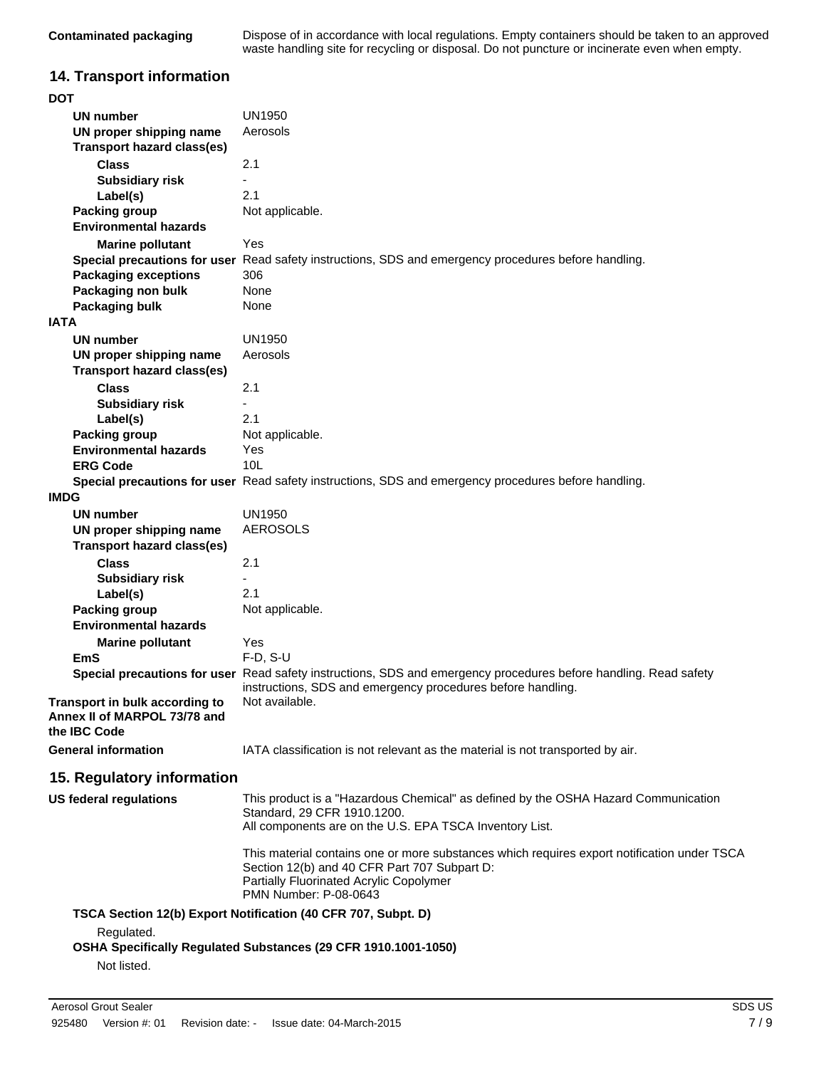| Contaminated packaging | Dispose of in accordance with local regulations. Empty containers should be taken to an approved |
|------------------------|--------------------------------------------------------------------------------------------------|
|                        | waste handling site for recycling or disposal. Do not puncture or incinerate even when empty.    |

# **14. Transport information**

| <b>DOT</b>  |                                                                                |                                                                                                                                                                                                                        |
|-------------|--------------------------------------------------------------------------------|------------------------------------------------------------------------------------------------------------------------------------------------------------------------------------------------------------------------|
|             | UN number                                                                      | UN1950                                                                                                                                                                                                                 |
|             | UN proper shipping name<br><b>Transport hazard class(es)</b>                   | Aerosols                                                                                                                                                                                                               |
|             | <b>Class</b>                                                                   | 2.1                                                                                                                                                                                                                    |
|             |                                                                                |                                                                                                                                                                                                                        |
|             | <b>Subsidiary risk</b>                                                         | 2.1                                                                                                                                                                                                                    |
|             | Label(s)                                                                       |                                                                                                                                                                                                                        |
|             | <b>Packing group</b><br><b>Environmental hazards</b>                           | Not applicable.                                                                                                                                                                                                        |
|             | <b>Marine pollutant</b>                                                        | Yes                                                                                                                                                                                                                    |
|             |                                                                                | Special precautions for user Read safety instructions, SDS and emergency procedures before handling.                                                                                                                   |
|             | <b>Packaging exceptions</b>                                                    | 306                                                                                                                                                                                                                    |
|             | Packaging non bulk                                                             | None                                                                                                                                                                                                                   |
| <b>IATA</b> | Packaging bulk                                                                 | None                                                                                                                                                                                                                   |
|             | UN number                                                                      | UN1950                                                                                                                                                                                                                 |
|             | UN proper shipping name                                                        | Aerosols                                                                                                                                                                                                               |
|             | <b>Transport hazard class(es)</b>                                              |                                                                                                                                                                                                                        |
|             | <b>Class</b>                                                                   | 2.1                                                                                                                                                                                                                    |
|             | <b>Subsidiary risk</b>                                                         | $\frac{1}{2}$                                                                                                                                                                                                          |
|             | Label(s)                                                                       | 2.1                                                                                                                                                                                                                    |
|             | <b>Packing group</b>                                                           | Not applicable.                                                                                                                                                                                                        |
|             | <b>Environmental hazards</b><br><b>ERG Code</b>                                | Yes<br>10L                                                                                                                                                                                                             |
|             |                                                                                | Special precautions for user Read safety instructions, SDS and emergency procedures before handling.                                                                                                                   |
| <b>IMDG</b> |                                                                                |                                                                                                                                                                                                                        |
|             | <b>UN number</b>                                                               | UN1950                                                                                                                                                                                                                 |
|             | UN proper shipping name                                                        | <b>AEROSOLS</b>                                                                                                                                                                                                        |
|             | <b>Transport hazard class(es)</b>                                              |                                                                                                                                                                                                                        |
|             | <b>Class</b>                                                                   | 2.1                                                                                                                                                                                                                    |
|             | <b>Subsidiary risk</b>                                                         |                                                                                                                                                                                                                        |
|             | Label(s)                                                                       | 2.1                                                                                                                                                                                                                    |
|             | <b>Packing group</b>                                                           | Not applicable.                                                                                                                                                                                                        |
|             | <b>Environmental hazards</b>                                                   |                                                                                                                                                                                                                        |
|             | <b>Marine pollutant</b>                                                        | Yes                                                                                                                                                                                                                    |
|             | EmS                                                                            | $F-D, S-U$                                                                                                                                                                                                             |
|             |                                                                                | Special precautions for user Read safety instructions, SDS and emergency procedures before handling. Read safety<br>instructions, SDS and emergency procedures before handling.                                        |
|             | Transport in bulk according to<br>Annex II of MARPOL 73/78 and<br>the IBC Code | Not available.                                                                                                                                                                                                         |
|             | <b>General information</b>                                                     | IATA classification is not relevant as the material is not transported by air.                                                                                                                                         |
|             | 15. Regulatory information                                                     |                                                                                                                                                                                                                        |
|             | <b>US federal regulations</b>                                                  | This product is a "Hazardous Chemical" as defined by the OSHA Hazard Communication<br>Standard, 29 CFR 1910.1200.<br>All components are on the U.S. EPA TSCA Inventory List.                                           |
|             |                                                                                | This material contains one or more substances which requires export notification under TSCA<br>Section 12(b) and 40 CFR Part 707 Subpart D:<br>Partially Fluorinated Acrylic Copolymer<br><b>PMN Number: P-08-0643</b> |
|             |                                                                                | TSCA Section 12(b) Export Notification (40 CFR 707, Subpt. D)                                                                                                                                                          |
|             | Regulated.                                                                     | OSHA Specifically Regulated Substances (29 CFR 1910.1001-1050)                                                                                                                                                         |
|             | Not listed.                                                                    |                                                                                                                                                                                                                        |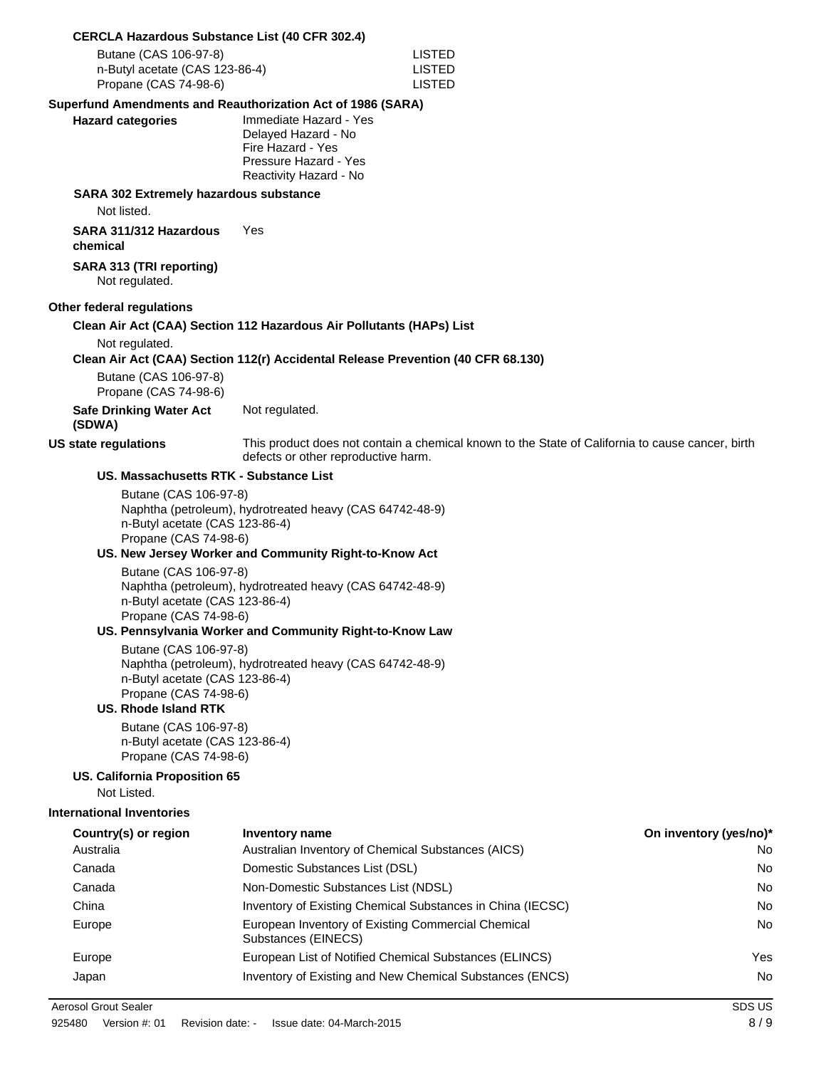#### **CERCLA Hazardous Substance List (40 CFR 302.4)**

| Butane (CAS 106-97-8)          | LISTED |
|--------------------------------|--------|
| n-Butyl acetate (CAS 123-86-4) | LISTED |
| Propane (CAS 74-98-6)          | LISTED |

#### **Superfund Amendments and Reauthorization Act of 1986 (SARA)**

| <b>Hazard categories</b> | Immediate Hazard - Yes |
|--------------------------|------------------------|
|                          | Delayed Hazard - No    |
|                          | Fire Hazard - Yes      |
|                          | Pressure Hazard - Yes  |
|                          | Reactivity Hazard - No |

#### **SARA 302 Extremely hazardous substance**

Not listed.

**SARA 311/312 Hazardous chemical** Yes

**SARA 313 (TRI reporting)** Not regulated.

#### **Other federal regulations**

#### **Clean Air Act (CAA) Section 112 Hazardous Air Pollutants (HAPs) List**

Not regulated.

#### **Clean Air Act (CAA) Section 112(r) Accidental Release Prevention (40 CFR 68.130)**

Butane (CAS 106-97-8) Propane (CAS 74-98-6)

**Safe Drinking Water Act** Not regulated.

#### **(SDWA)**

**US state regulations** This product does not contain a chemical known to the State of California to cause cancer, birth defects or other reproductive harm.

#### **US. Massachusetts RTK - Substance List**

Butane (CAS 106-97-8) Naphtha (petroleum), hydrotreated heavy (CAS 64742-48-9) n-Butyl acetate (CAS 123-86-4) Propane (CAS 74-98-6)

#### **US. New Jersey Worker and Community Right-to-Know Act**

Butane (CAS 106-97-8) Naphtha (petroleum), hydrotreated heavy (CAS 64742-48-9) n-Butyl acetate (CAS 123-86-4) Propane (CAS 74-98-6)

#### **US. Pennsylvania Worker and Community Right-to-Know Law**

Butane (CAS 106-97-8) Naphtha (petroleum), hydrotreated heavy (CAS 64742-48-9) n-Butyl acetate (CAS 123-86-4) Propane (CAS 74-98-6)

#### **US. Rhode Island RTK**

Butane (CAS 106-97-8) n-Butyl acetate (CAS 123-86-4) Propane (CAS 74-98-6)

#### **US. California Proposition 65**

Not Listed.

#### **International Inventories**

| Country(s) or region | Inventory name                                                            | On inventory (yes/no)* |
|----------------------|---------------------------------------------------------------------------|------------------------|
| Australia            | Australian Inventory of Chemical Substances (AICS)                        | No                     |
| Canada               | Domestic Substances List (DSL)                                            | No                     |
| Canada               | Non-Domestic Substances List (NDSL)                                       | No                     |
| China                | Inventory of Existing Chemical Substances in China (IECSC)                | No                     |
| Europe               | European Inventory of Existing Commercial Chemical<br>Substances (EINECS) | No                     |
| Europe               | European List of Notified Chemical Substances (ELINCS)                    | Yes                    |
| Japan                | Inventory of Existing and New Chemical Substances (ENCS)                  | No                     |